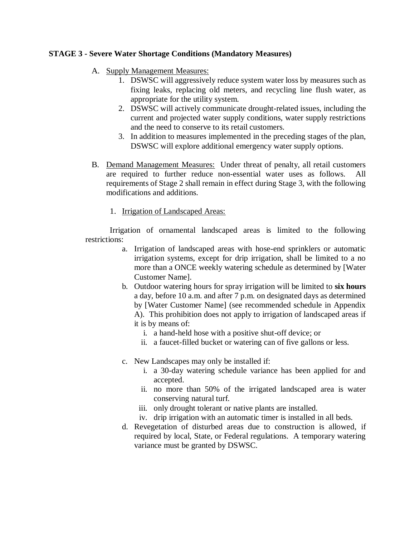## **STAGE 3 - Severe Water Shortage Conditions (Mandatory Measures)**

- A. Supply Management Measures:
	- 1. DSWSC will aggressively reduce system water loss by measures such as fixing leaks, replacing old meters, and recycling line flush water, as appropriate for the utility system.
	- 2. DSWSC will actively communicate drought-related issues, including the current and projected water supply conditions, water supply restrictions and the need to conserve to its retail customers.
	- 3. In addition to measures implemented in the preceding stages of the plan, DSWSC will explore additional emergency water supply options.
- B. Demand Management Measures: Under threat of penalty, all retail customers are required to further reduce non-essential water uses as follows. All requirements of Stage 2 shall remain in effect during Stage 3, with the following modifications and additions.
	- 1. Irrigation of Landscaped Areas:

Irrigation of ornamental landscaped areas is limited to the following restrictions:

- a. Irrigation of landscaped areas with hose-end sprinklers or automatic irrigation systems, except for drip irrigation, shall be limited to a no more than a ONCE weekly watering schedule as determined by [Water Customer Name].
- b. Outdoor watering hours for spray irrigation will be limited to **six hours**  a day, before 10 a.m. and after 7 p.m. on designated days as determined by [Water Customer Name] (see recommended schedule in Appendix A). This prohibition does not apply to irrigation of landscaped areas if it is by means of:
	- i. a hand-held hose with a positive shut-off device; or
	- ii. a faucet-filled bucket or watering can of five gallons or less.
- c. New Landscapes may only be installed if:
	- i. a 30-day watering schedule variance has been applied for and accepted.
	- ii. no more than 50% of the irrigated landscaped area is water conserving natural turf.
	- iii. only drought tolerant or native plants are installed.
	- iv. drip irrigation with an automatic timer is installed in all beds.
- d. Revegetation of disturbed areas due to construction is allowed, if required by local, State, or Federal regulations. A temporary watering variance must be granted by DSWSC.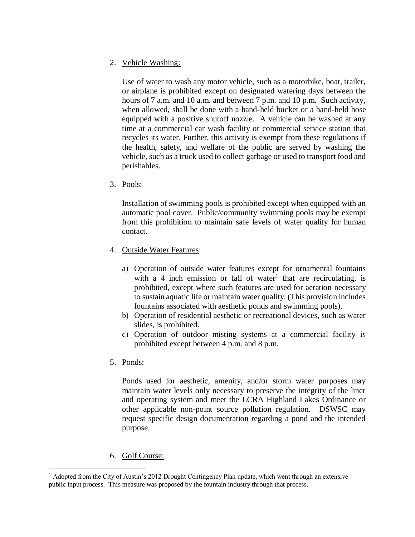## 2. Vehicle Washing:

Use of water to wash any motor vehicle, such as a motorbike, boat, trailer, or airplane is prohibited except on designated watering days between the hours of 7 a.m. and 10 a.m. and between 7 p.m. and 10 p.m. Such activity, when allowed, shall be done with a hand-held bucket or a hand-held hose equipped with a positive shutoff nozzle. A vehicle can be washed at any time at a commercial car wash facility or commercial service station that recycles its water. Further, this activity is exempt from these regulations if the health, safety, and welfare of the public are served by washing the vehicle, such as a truck used to collect garbage or used to transport food and perishables.

3. Pools:

Installation of swimming pools is prohibited except when equipped with an automatic pool cover. Public/community swimming pools may be exempt from this prohibition to maintain safe levels of water quality for human contact.

- 4. Outside Water Features:
	- a) Operation of outside water features except for ornamental fountains with a 4 inch emission or fall of water<sup>1</sup> that are recirculating, is prohibited, except where such features are used for aeration necessary to sustain aquatic life or maintain water quality. (This provision includes fountains associated with aesthetic ponds and swimming pools).
	- b) Operation of residential aesthetic or recreational devices, such as water slides, is prohibited.
	- c) Operation of outdoor misting systems at a commercial facility is prohibited except between 4 p.m. and 8 p.m.
- 5. Ponds:

Ponds used for aesthetic, amenity, and/or storm water purposes may maintain water levels only necessary to preserve the integrity of the liner and operating system and meet the LCRA Highland Lakes Ordinance or other applicable non-point source pollution regulation. DSWSC may request specific design documentation regarding a pond and the intended purpose.

6. Golf Course:

 $\overline{a}$ 

<sup>&</sup>lt;sup>1</sup> Adopted from the City of Austin's 2012 Drought Contingency Plan update, which went through an extensive public input process. This measure was proposed by the fountain industry through that process.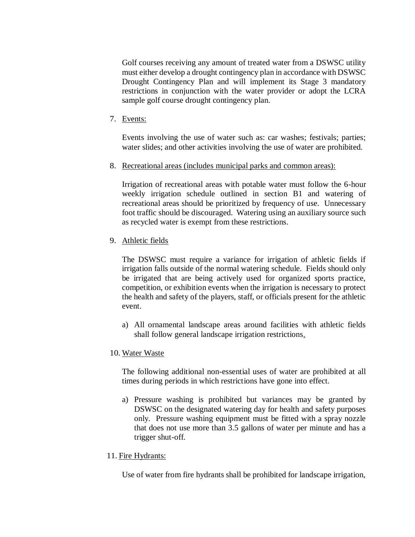Golf courses receiving any amount of treated water from a DSWSC utility must either develop a drought contingency plan in accordance with DSWSC Drought Contingency Plan and will implement its Stage 3 mandatory restrictions in conjunction with the water provider or adopt the LCRA sample golf course drought contingency plan.

7. Events:

Events involving the use of water such as: car washes; festivals; parties; water slides; and other activities involving the use of water are prohibited.

8. Recreational areas (includes municipal parks and common areas):

Irrigation of recreational areas with potable water must follow the 6-hour weekly irrigation schedule outlined in section B1 and watering of recreational areas should be prioritized by frequency of use. Unnecessary foot traffic should be discouraged. Watering using an auxiliary source such as recycled water is exempt from these restrictions.

9. Athletic fields

The DSWSC must require a variance for irrigation of athletic fields if irrigation falls outside of the normal watering schedule. Fields should only be irrigated that are being actively used for organized sports practice, competition, or exhibition events when the irrigation is necessary to protect the health and safety of the players, staff, or officials present for the athletic event.

- a) All ornamental landscape areas around facilities with athletic fields shall follow general landscape irrigation restrictions.
- 10. Water Waste

The following additional non-essential uses of water are prohibited at all times during periods in which restrictions have gone into effect.

- a) Pressure washing is prohibited but variances may be granted by DSWSC on the designated watering day for health and safety purposes only. Pressure washing equipment must be fitted with a spray nozzle that does not use more than 3.5 gallons of water per minute and has a trigger shut-off.
- 11. Fire Hydrants:

Use of water from fire hydrants shall be prohibited for landscape irrigation,